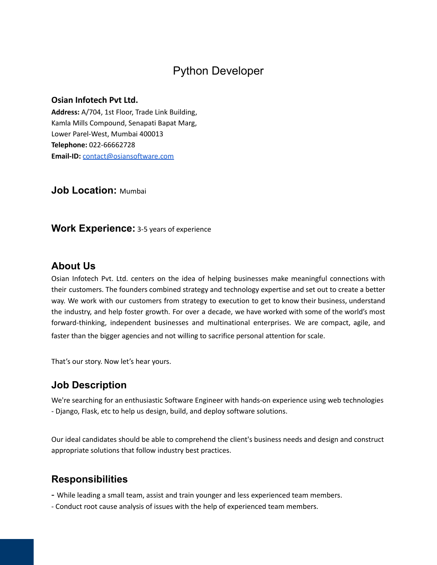# Python Developer

#### **Osian Infotech Pvt Ltd.**

**Address:** A/704, 1st Floor, Trade Link Building, Kamla Mills Compound, Senapati Bapat Marg, Lower Parel-West, Mumbai 400013 **Telephone:** 022-66662728 **Email-ID:** [contact@osiansoftware.com](mailto:contact@osiansoftware.com)

**Job Location:** Mumbai

**Work Experience:** 3-5 years of experience

### **About Us**

Osian Infotech Pvt. Ltd. centers on the idea of helping businesses make meaningful connections with their customers. The founders combined strategy and technology expertise and set out to create a better way. We work with our customers from strategy to execution to get to know their business, understand the industry, and help foster growth. For over a decade, we have worked with some of the world's most forward-thinking, independent businesses and multinational enterprises. We are compact, agile, and faster than the bigger agencies and not willing to sacrifice personal attention for scale.

That's our story. Now let's hear yours.

### **Job Description**

We're searching for an enthusiastic Software Engineer with hands-on experience using web technologies - Django, Flask, etc to help us design, build, and deploy software solutions.

Our ideal candidates should be able to comprehend the client's business needs and design and construct appropriate solutions that follow industry best practices.

### **Responsibilities**

- While leading a small team, assist and train younger and less experienced team members.
- Conduct root cause analysis of issues with the help of experienced team members.